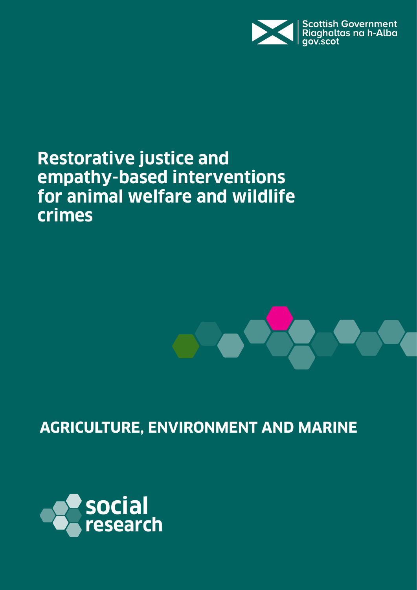

## **Restorative justice and empathy-based interventions for animal welfare and wildlife crimes**



**AGRICULTURE, ENVIRONMENT AND MARINE**

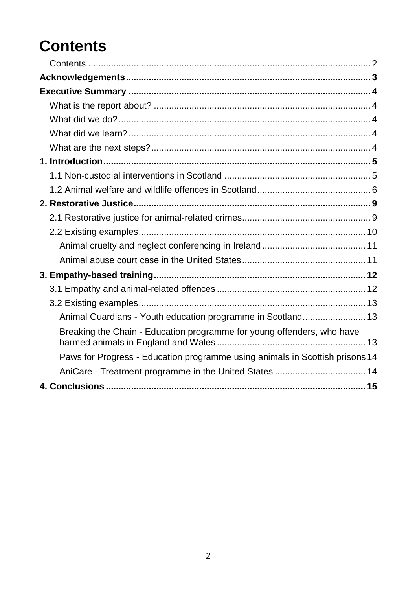## <span id="page-1-0"></span>**Contents**

| Animal Guardians - Youth education programme in Scotland 13                  |
|------------------------------------------------------------------------------|
| Breaking the Chain - Education programme for young offenders, who have       |
| Paws for Progress - Education programme using animals in Scottish prisons 14 |
| AniCare - Treatment programme in the United States  14                       |
|                                                                              |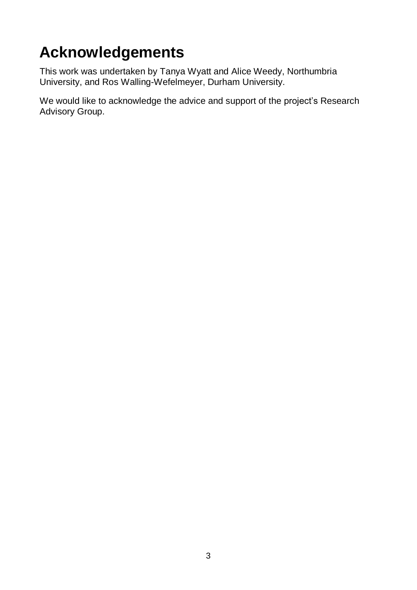## <span id="page-2-0"></span>**Acknowledgements**

This work was undertaken by Tanya Wyatt and Alice Weedy, Northumbria University, and Ros Walling-Wefelmeyer, Durham University.

We would like to acknowledge the advice and support of the project's Research Advisory Group.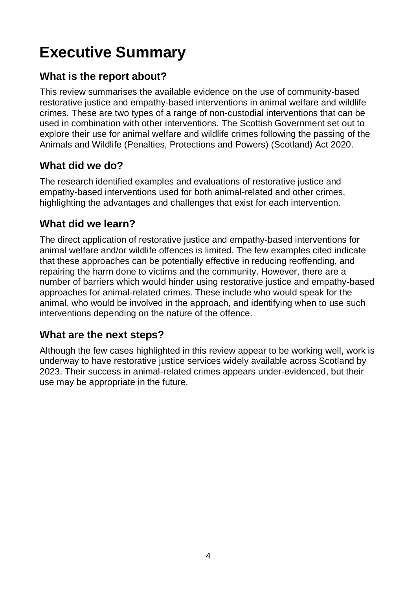## <span id="page-3-0"></span>**Executive Summary**

### <span id="page-3-1"></span>**What is the report about?**

This review summarises the available evidence on the use of community-based restorative justice and empathy-based interventions in animal welfare and wildlife crimes. These are two types of a range of non-custodial interventions that can be used in combination with other interventions. The Scottish Government set out to explore their use for animal welfare and wildlife crimes following the passing of the Animals and Wildlife (Penalties, Protections and Powers) (Scotland) Act 2020.

### <span id="page-3-2"></span>**What did we do?**

The research identified examples and evaluations of restorative justice and empathy-based interventions used for both animal-related and other crimes, highlighting the advantages and challenges that exist for each intervention.

### <span id="page-3-3"></span>**What did we learn?**

The direct application of restorative justice and empathy-based interventions for animal welfare and/or wildlife offences is limited. The few examples cited indicate that these approaches can be potentially effective in reducing reoffending, and repairing the harm done to victims and the community. However, there are a number of barriers which would hinder using restorative justice and empathy-based approaches for animal-related crimes. These include who would speak for the animal, who would be involved in the approach, and identifying when to use such interventions depending on the nature of the offence.

### <span id="page-3-4"></span>**What are the next steps?**

Although the few cases highlighted in this review appear to be working well, work is underway to have restorative justice services widely available across Scotland by 2023. Their success in animal-related crimes appears under-evidenced, but their use may be appropriate in the future.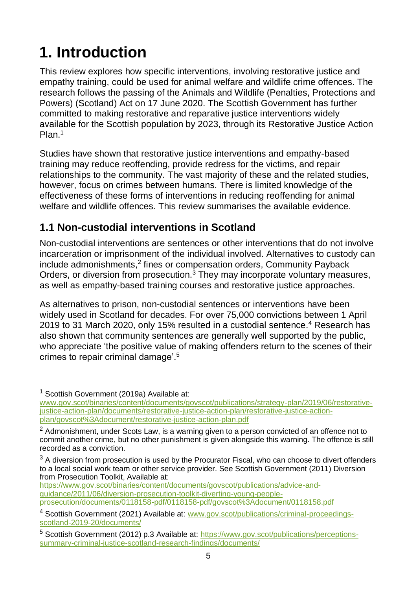# <span id="page-4-0"></span>**1. Introduction**

This review explores how specific interventions, involving restorative justice and empathy training, could be used for animal welfare and wildlife crime offences. The research follows the passing of the Animals and Wildlife (Penalties, Protections and Powers) (Scotland) Act on 17 June 2020. The Scottish Government has further committed to making restorative and reparative justice interventions widely available for the Scottish population by 2023, through its Restorative Justice Action Plan.<sup>1</sup>

Studies have shown that restorative justice interventions and empathy-based training may reduce reoffending, provide redress for the victims, and repair relationships to the community. The vast majority of these and the related studies, however, focus on crimes between humans. There is limited knowledge of the effectiveness of these forms of interventions in reducing reoffending for animal welfare and wildlife offences. This review summarises the available evidence.

## <span id="page-4-1"></span>**1.1 Non-custodial interventions in Scotland**

Non-custodial interventions are sentences or other interventions that do not involve incarceration or imprisonment of the individual involved. Alternatives to custody can include admonishments,<sup>2</sup> fines or compensation orders, Community Payback Orders, or diversion from prosecution.<sup>3</sup> They may incorporate voluntary measures, as well as empathy-based training courses and restorative justice approaches.

As alternatives to prison, non-custodial sentences or interventions have been widely used in Scotland for decades. For over 75,000 convictions between 1 April 2019 to 31 March 2020, only 15% resulted in a custodial sentence. <sup>4</sup> Research has also shown that community sentences are generally well supported by the public, who appreciate 'the positive value of making offenders return to the scenes of their crimes to repair criminal damage'.<sup>5</sup>

[https://www.gov.scot/binaries/content/documents/govscot/publications/advice-and](https://www.gov.scot/binaries/content/documents/govscot/publications/advice-and-guidance/2011/06/diversion-prosecution-toolkit-diverting-young-people-prosecution/documents/0118158-pdf/0118158-pdf/govscot%3Adocument/0118158.pdf)[guidance/2011/06/diversion-prosecution-toolkit-diverting-young-people](https://www.gov.scot/binaries/content/documents/govscot/publications/advice-and-guidance/2011/06/diversion-prosecution-toolkit-diverting-young-people-prosecution/documents/0118158-pdf/0118158-pdf/govscot%3Adocument/0118158.pdf)[prosecution/documents/0118158-pdf/0118158-pdf/govscot%3Adocument/0118158.pdf](https://www.gov.scot/binaries/content/documents/govscot/publications/advice-and-guidance/2011/06/diversion-prosecution-toolkit-diverting-young-people-prosecution/documents/0118158-pdf/0118158-pdf/govscot%3Adocument/0118158.pdf)

 $\overline{\phantom{a}}$ <sup>1</sup> Scottish Government (2019a) Available at:

[www.gov.scot/binaries/content/documents/govscot/publications/strategy-plan/2019/06/restorative](http://www.gov.scot/binaries/content/documents/govscot/publications/strategy-plan/2019/06/restorative-justice-action-plan/documents/restorative-justice-action-plan/restorative-justice-action-plan/govscot%3Adocument/restorative-justice-action-plan.pdf)[justice-action-plan/documents/restorative-justice-action-plan/restorative-justice-action](http://www.gov.scot/binaries/content/documents/govscot/publications/strategy-plan/2019/06/restorative-justice-action-plan/documents/restorative-justice-action-plan/restorative-justice-action-plan/govscot%3Adocument/restorative-justice-action-plan.pdf)[plan/govscot%3Adocument/restorative-justice-action-plan.pdf](http://www.gov.scot/binaries/content/documents/govscot/publications/strategy-plan/2019/06/restorative-justice-action-plan/documents/restorative-justice-action-plan/restorative-justice-action-plan/govscot%3Adocument/restorative-justice-action-plan.pdf)

 $2$  Admonishment, under Scots Law, is a warning given to a person convicted of an offence not to commit another crime, but no other punishment is given alongside this warning. The offence is still recorded as a conviction.

 $3$  A diversion from prosecution is used by the Procurator Fiscal, who can choose to divert offenders to a local social work team or other service provider. See Scottish Government (2011) Diversion from Prosecution Toolkit, Available at:

<sup>&</sup>lt;sup>4</sup> Scottish Government (2021) Available at: [www.gov.scot/publications/criminal-proceedings](http://www.gov.scot/publications/criminal-proceedings-scotland-2019-20/documents/)[scotland-2019-20/documents/](http://www.gov.scot/publications/criminal-proceedings-scotland-2019-20/documents/)

<sup>5</sup> Scottish Government (2012) p.3 Available at: [https://www.gov.scot/publications/perceptions](https://www.gov.scot/publications/perceptions-summary-criminal-justice-scotland-research-findings/documents/)[summary-criminal-justice-scotland-research-findings/documents/](https://www.gov.scot/publications/perceptions-summary-criminal-justice-scotland-research-findings/documents/)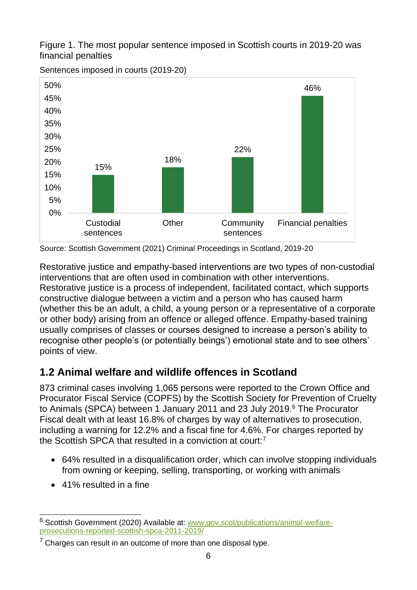Figure 1. The most popular sentence imposed in Scottish courts in 2019-20 was financial penalties



Sentences imposed in courts (2019-20)

Source: Scottish Government (2021) Criminal Proceedings in Scotland, 2019-20

Restorative justice and empathy-based interventions are two types of non-custodial interventions that are often used in combination with other interventions. Restorative justice is a process of independent, facilitated contact, which supports constructive dialogue between a victim and a person who has caused harm (whether this be an adult, a child, a young person or a representative of a corporate or other body) arising from an offence or alleged offence. Empathy-based training usually comprises of classes or courses designed to increase a person's ability to recognise other people's (or potentially beings') emotional state and to see others' points of view.

### <span id="page-5-0"></span>**1.2 Animal welfare and wildlife offences in Scotland**

873 criminal cases involving 1,065 persons were reported to the Crown Office and Procurator Fiscal Service (COPFS) by the Scottish Society for Prevention of Cruelty to Animals (SPCA) between 1 January 2011 and 23 July 2019.<sup>6</sup> The Procurator Fiscal dealt with at least 16.8% of charges by way of alternatives to prosecution, including a warning for 12.2% and a fiscal fine for 4.6%. For charges reported by the Scottish SPCA that resulted in a conviction at court:<sup>7</sup>

- 64% resulted in a disqualification order, which can involve stopping individuals from owning or keeping, selling, transporting, or working with animals
- 41% resulted in a fine

 $\overline{\phantom{a}}$ <sup>6</sup> Scottish Government (2020) Available at: [www.gov.scot/publications/animal-welfare](http://www.gov.scot/publications/animal-welfare-prosecutions-reported-scottish-spca-2011-2019/)[prosecutions-reported-scottish-spca-2011-2019/](http://www.gov.scot/publications/animal-welfare-prosecutions-reported-scottish-spca-2011-2019/)

 $7$  Charges can result in an outcome of more than one disposal type.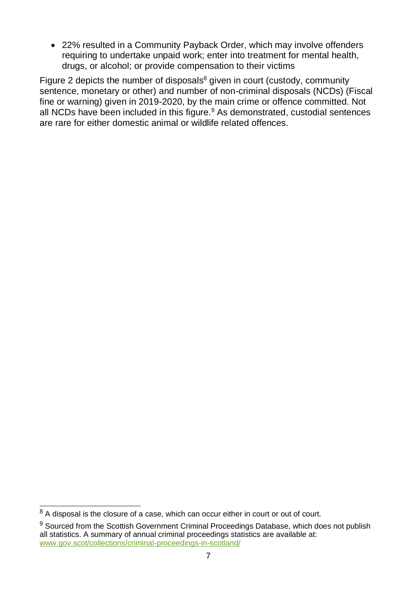• 22% resulted in a Community Payback Order, which may involve offenders requiring to undertake unpaid work; enter into treatment for mental health, drugs, or alcohol; or provide compensation to their victims

Figure 2 depicts the number of disposals<sup>8</sup> given in court (custody, community sentence, monetary or other) and number of non-criminal disposals (NCDs) (Fiscal fine or warning) given in 2019-2020, by the main crime or offence committed. Not all NCDs have been included in this figure.<sup>9</sup> As demonstrated, custodial sentences are rare for either domestic animal or wildlife related offences.

 $\overline{a}$  $8$  A disposal is the closure of a case, which can occur either in court or out of court.

<sup>&</sup>lt;sup>9</sup> Sourced from the Scottish Government Criminal Proceedings Database, which does not publish all statistics. A summary of annual criminal proceedings statistics are available at: [www.gov.scot/collections/criminal-proceedings-in-scotland/](http://www.gov.scot/collections/criminal-proceedings-in-scotland/)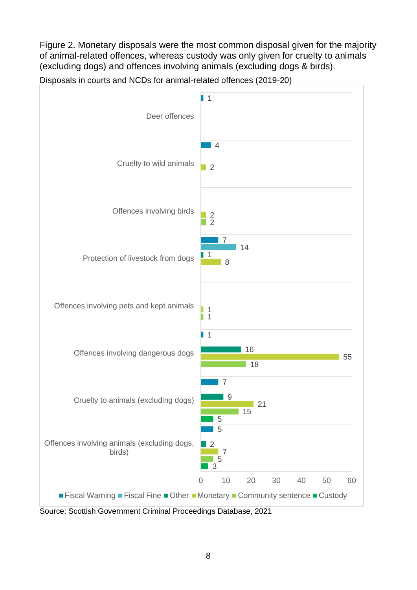Figure 2. Monetary disposals were the most common disposal given for the majority of animal-related offences, whereas custody was only given for cruelty to animals (excluding dogs) and offences involving animals (excluding dogs & birds).



Disposals in courts and NCDs for animal-related offences (2019-20)

Source: Scottish Government Criminal Proceedings Database, 2021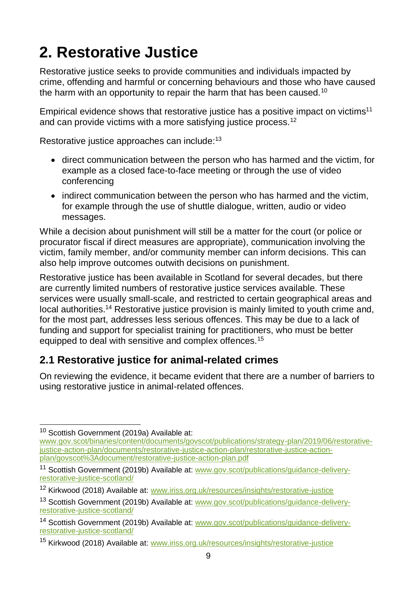## <span id="page-8-0"></span>**2. Restorative Justice**

Restorative justice seeks to provide communities and individuals impacted by crime, offending and harmful or concerning behaviours and those who have caused the harm with an opportunity to repair the harm that has been caused.<sup>10</sup>

Empirical evidence shows that restorative justice has a positive impact on victims<sup>11</sup> and can provide victims with a more satisfying justice process.<sup>12</sup>

Restorative justice approaches can include:<sup>13</sup>

- direct communication between the person who has harmed and the victim, for example as a closed face-to-face meeting or through the use of video conferencing
- indirect communication between the person who has harmed and the victim. for example through the use of shuttle dialogue, written, audio or video messages.

While a decision about punishment will still be a matter for the court (or police or procurator fiscal if direct measures are appropriate), communication involving the victim, family member, and/or community member can inform decisions. This can also help improve outcomes outwith decisions on punishment.

Restorative justice has been available in Scotland for several decades, but there are currently limited numbers of restorative justice services available. These services were usually small-scale, and restricted to certain geographical areas and local authorities.<sup>14</sup> Restorative justice provision is mainly limited to youth crime and, for the most part, addresses less serious offences. This may be due to a lack of funding and support for specialist training for practitioners, who must be better equipped to deal with sensitive and complex offences.<sup>15</sup>

### <span id="page-8-1"></span>**2.1 Restorative justice for animal-related crimes**

On reviewing the evidence, it became evident that there are a number of barriers to using restorative justice in animal-related offences.

 $\overline{a}$ <sup>10</sup> Scottish Government (2019a) Available at:

[www.gov.scot/binaries/content/documents/govscot/publications/strategy-plan/2019/06/restorative](http://www.gov.scot/binaries/content/documents/govscot/publications/strategy-plan/2019/06/restorative-justice-action-plan/documents/restorative-justice-action-plan/restorative-justice-action-plan/govscot%3Adocument/restorative-justice-action-plan.pdf)[justice-action-plan/documents/restorative-justice-action-plan/restorative-justice-action](http://www.gov.scot/binaries/content/documents/govscot/publications/strategy-plan/2019/06/restorative-justice-action-plan/documents/restorative-justice-action-plan/restorative-justice-action-plan/govscot%3Adocument/restorative-justice-action-plan.pdf)[plan/govscot%3Adocument/restorative-justice-action-plan.pdf](http://www.gov.scot/binaries/content/documents/govscot/publications/strategy-plan/2019/06/restorative-justice-action-plan/documents/restorative-justice-action-plan/restorative-justice-action-plan/govscot%3Adocument/restorative-justice-action-plan.pdf)

<sup>&</sup>lt;sup>11</sup> Scottish Government (2019b) Available at: [www.gov.scot/publications/guidance-delivery](http://www.gov.scot/publications/guidance-delivery-restorative-justice-scotland/)[restorative-justice-scotland/](http://www.gov.scot/publications/guidance-delivery-restorative-justice-scotland/)

<sup>&</sup>lt;sup>12</sup> Kirkwood (2018) Available at: [www.iriss.org.uk/resources/insights/restorative-justice](http://www.iriss.org.uk/resources/insights/restorative-justice)

<sup>&</sup>lt;sup>13</sup> Scottish Government (2019b) Available at: [www.gov.scot/publications/guidance-delivery](http://www.gov.scot/publications/guidance-delivery-restorative-justice-scotland/)[restorative-justice-scotland/](http://www.gov.scot/publications/guidance-delivery-restorative-justice-scotland/)

<sup>&</sup>lt;sup>14</sup> Scottish Government (2019b) Available at: [www.gov.scot/publications/guidance-delivery](http://www.gov.scot/publications/guidance-delivery-restorative-justice-scotland/)[restorative-justice-scotland/](http://www.gov.scot/publications/guidance-delivery-restorative-justice-scotland/)

<sup>15</sup> Kirkwood (2018) Available at: [www.iriss.org.uk/resources/insights/restorative-justice](http://www.iriss.org.uk/resources/insights/restorative-justice)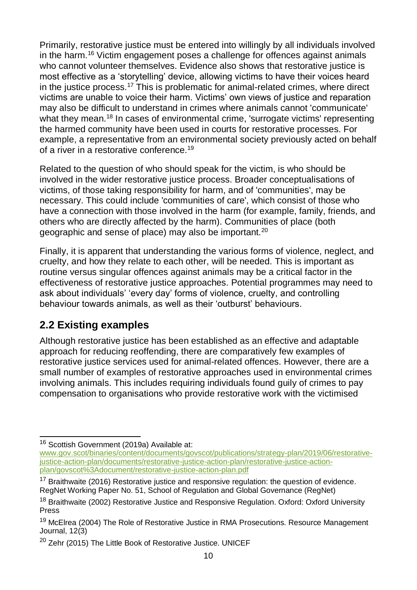Primarily, restorative justice must be entered into willingly by all individuals involved in the harm.<sup>16</sup> Victim engagement poses a challenge for offences against animals who cannot volunteer themselves. Evidence also shows that restorative justice is most effective as a 'storytelling' device, allowing victims to have their voices heard in the justice process.<sup>17</sup> This is problematic for animal-related crimes, where direct victims are unable to voice their harm. Victims' own views of justice and reparation may also be difficult to understand in crimes where animals cannot 'communicate' what they mean.<sup>18</sup> In cases of environmental crime, 'surrogate victims' representing the harmed community have been used in courts for restorative processes. For example, a representative from an environmental society previously acted on behalf of a river in a restorative conference.<sup>19</sup>

Related to the question of who should speak for the victim, is who should be involved in the wider restorative justice process. Broader conceptualisations of victims, of those taking responsibility for harm, and of 'communities', may be necessary. This could include 'communities of care', which consist of those who have a connection with those involved in the harm (for example, family, friends, and others who are directly affected by the harm). Communities of place (both geographic and sense of place) may also be important.<sup>20</sup>

Finally, it is apparent that understanding the various forms of violence, neglect, and cruelty, and how they relate to each other, will be needed. This is important as routine versus singular offences against animals may be a critical factor in the effectiveness of restorative justice approaches. Potential programmes may need to ask about individuals' 'every day' forms of violence, cruelty, and controlling behaviour towards animals, as well as their 'outburst' behaviours.

### <span id="page-9-0"></span>**2.2 Existing examples**

Although restorative justice has been established as an effective and adaptable approach for reducing reoffending, there are comparatively few examples of restorative justice services used for animal-related offences. However, there are a small number of examples of restorative approaches used in environmental crimes involving animals. This includes requiring individuals found guily of crimes to pay compensation to organisations who provide restorative work with the victimised

 $\overline{\phantom{a}}$ <sup>16</sup> Scottish Government (2019a) Available at:

[www.gov.scot/binaries/content/documents/govscot/publications/strategy-plan/2019/06/restorative](http://www.gov.scot/binaries/content/documents/govscot/publications/strategy-plan/2019/06/restorative-justice-action-plan/documents/restorative-justice-action-plan/restorative-justice-action-plan/govscot%3Adocument/restorative-justice-action-plan.pdf)[justice-action-plan/documents/restorative-justice-action-plan/restorative-justice-action](http://www.gov.scot/binaries/content/documents/govscot/publications/strategy-plan/2019/06/restorative-justice-action-plan/documents/restorative-justice-action-plan/restorative-justice-action-plan/govscot%3Adocument/restorative-justice-action-plan.pdf)[plan/govscot%3Adocument/restorative-justice-action-plan.pdf](http://www.gov.scot/binaries/content/documents/govscot/publications/strategy-plan/2019/06/restorative-justice-action-plan/documents/restorative-justice-action-plan/restorative-justice-action-plan/govscot%3Adocument/restorative-justice-action-plan.pdf)

 $17$  Braithwaite (2016) Restorative justice and responsive regulation: the question of evidence. RegNet Working Paper No. 51, School of Regulation and Global Governance (RegNet)

<sup>&</sup>lt;sup>18</sup> Braithwaite (2002) Restorative Justice and Responsive Regulation. Oxford: Oxford University Press

<sup>&</sup>lt;sup>19</sup> McElrea (2004) The Role of Restorative Justice in RMA Prosecutions. Resource Management Journal, 12(3)

<sup>&</sup>lt;sup>20</sup> Zehr (2015) The Little Book of Restorative Justice. UNICEF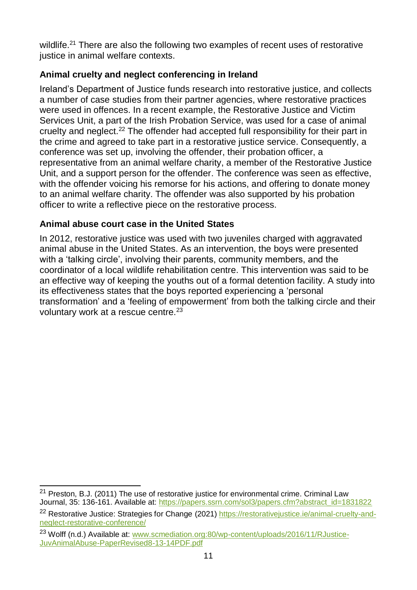wildlife.<sup>21</sup> There are also the following two examples of recent uses of restorative justice in animal welfare contexts.

### <span id="page-10-0"></span>**Animal cruelty and neglect conferencing in Ireland**

Ireland's Department of Justice funds research into restorative justice, and collects a number of case studies from their partner agencies, where restorative practices were used in offences. In a recent example, the Restorative Justice and Victim Services Unit, a part of the Irish Probation Service, was used for a case of animal cruelty and neglect.<sup>22</sup> The offender had accepted full responsibility for their part in the crime and agreed to take part in a restorative justice service. Consequently, a conference was set up, involving the offender, their probation officer, a representative from an animal welfare charity, a member of the Restorative Justice Unit, and a support person for the offender. The conference was seen as effective, with the offender voicing his remorse for his actions, and offering to donate money to an animal welfare charity. The offender was also supported by his probation officer to write a reflective piece on the restorative process.

#### <span id="page-10-1"></span>**Animal abuse court case in the United States**

In 2012, restorative justice was used with two juveniles charged with aggravated animal abuse in the United States. As an intervention, the boys were presented with a 'talking circle', involving their parents, community members, and the coordinator of a local wildlife rehabilitation centre. This intervention was said to be an effective way of keeping the youths out of a formal detention facility. A study into its effectiveness states that the boys reported experiencing a 'personal transformation' and a 'feeling of empowerment' from both the talking circle and their voluntary work at a rescue centre.<sup>23</sup>

 $\overline{\phantom{a}}$ <sup>21</sup> Preston, B.J. (2011) The use of restorative justice for environmental crime. Criminal Law Journal, 35: 136-161. Available at: [https://papers.ssrn.com/sol3/papers.cfm?abstract\\_id=1831822](https://papers.ssrn.com/sol3/papers.cfm?abstract_id=1831822)

<sup>&</sup>lt;sup>22</sup> Restorative Justice: Strategies for Change (2021) [https://restorativejustice.ie/animal-cruelty-and](https://restorativejustice.ie/animal-cruelty-and-neglect-restorative-conference/)[neglect-restorative-conference/](https://restorativejustice.ie/animal-cruelty-and-neglect-restorative-conference/)

<sup>&</sup>lt;sup>23</sup> Wolff (n.d.) Available at: [www.scmediation.org:80/wp-content/uploads/2016/11/RJustice-](http://www.scmediation.org/wp-content/uploads/2016/11/RJustice-JuvAnimalAbuse-PaperRevised8-13-14PDF.pdf)[JuvAnimalAbuse-PaperRevised8-13-14PDF.pdf](http://www.scmediation.org/wp-content/uploads/2016/11/RJustice-JuvAnimalAbuse-PaperRevised8-13-14PDF.pdf)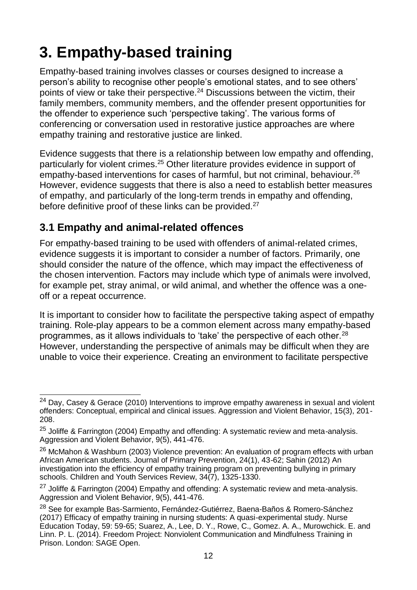## <span id="page-11-0"></span>**3. Empathy-based training**

Empathy-based training involves classes or courses designed to increase a person's ability to recognise other people's emotional states, and to see others' points of view or take their perspective.<sup>24</sup> Discussions between the victim, their family members, community members, and the offender present opportunities for the offender to experience such 'perspective taking'. The various forms of conferencing or conversation used in restorative justice approaches are where empathy training and restorative justice are linked.

Evidence suggests that there is a relationship between low empathy and offending. particularly for violent crimes.<sup>25</sup> Other literature provides evidence in support of empathy-based interventions for cases of harmful, but not criminal, behaviour.<sup>26</sup> However, evidence suggests that there is also a need to establish better measures of empathy, and particularly of the long-term trends in empathy and offending, before definitive proof of these links can be provided.<sup>27</sup>

## <span id="page-11-1"></span>**3.1 Empathy and animal-related offences**

For empathy-based training to be used with offenders of animal-related crimes, evidence suggests it is important to consider a number of factors. Primarily, one should consider the nature of the offence, which may impact the effectiveness of the chosen intervention. Factors may include which type of animals were involved, for example pet, stray animal, or wild animal, and whether the offence was a oneoff or a repeat occurrence.

It is important to consider how to facilitate the perspective taking aspect of empathy training. Role-play appears to be a common element across many empathy-based programmes, as it allows individuals to 'take' the perspective of each other.<sup>28</sup> However, understanding the perspective of animals may be difficult when they are unable to voice their experience. Creating an environment to facilitate perspective

 $\overline{\phantom{a}}$  $24$  Day, Casey & Gerace (2010) Interventions to improve empathy awareness in sexual and violent offenders: Conceptual, empirical and clinical issues. Aggression and Violent Behavior, 15(3), 201- 208.

 $25$  Joliffe & Farrington (2004) Empathy and offending: A systematic review and meta-analysis. Aggression and Violent Behavior, 9(5), 441-476.

 $26$  McMahon & Washburn (2003) Violence prevention: An evaluation of program effects with urban African American students. Journal of Primary Prevention, 24(1), 43-62; Sahin (2012) An investigation into the efficiency of empathy training program on preventing bullying in primary schools. Children and Youth Services Review, 34(7), 1325-1330.

 $27$  Joliffe & Farrington (2004) Empathy and offending: A systematic review and meta-analysis. Aggression and Violent Behavior, 9(5), 441-476.

<sup>28</sup> See for example Bas-Sarmiento, Fernández-Gutiérrez, Baena-Baños & Romero-Sánchez (2017) Efficacy of empathy training in nursing students: A quasi-experimental study. Nurse Education Today, 59: 59-65; Suarez, A., Lee, D. Y., Rowe, C., Gomez. A. A., Murowchick. E. and Linn. P. L. (2014). Freedom Project: Nonviolent Communication and Mindfulness Training in Prison. London: SAGE Open.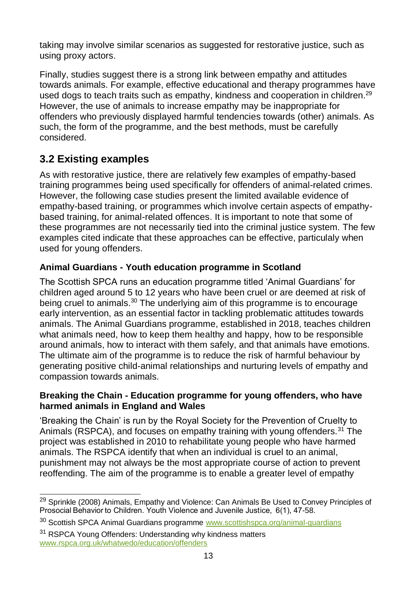taking may involve similar scenarios as suggested for restorative justice, such as using proxy actors.

Finally, studies suggest there is a strong link between empathy and attitudes towards animals. For example, effective educational and therapy programmes have used dogs to teach traits such as empathy, kindness and cooperation in children.<sup>29</sup> However, the use of animals to increase empathy may be inappropriate for offenders who previously displayed harmful tendencies towards (other) animals. As such, the form of the programme, and the best methods, must be carefully considered.

### <span id="page-12-0"></span>**3.2 Existing examples**

As with restorative justice, there are relatively few examples of empathy-based training programmes being used specifically for offenders of animal-related crimes. However, the following case studies present the limited available evidence of empathy-based training, or programmes which involve certain aspects of empathybased training, for animal-related offences. It is important to note that some of these programmes are not necessarily tied into the criminal justice system. The few examples cited indicate that these approaches can be effective, particulaly when used for young offenders.

#### <span id="page-12-1"></span>**Animal Guardians - Youth education programme in Scotland**

The Scottish SPCA runs an education programme titled 'Animal Guardians' for children aged around 5 to 12 years who have been cruel or are deemed at risk of being cruel to animals.<sup>30</sup> The underlying aim of this programme is to encourage early intervention, as an essential factor in tackling problematic attitudes towards animals. The Animal Guardians programme, established in 2018, teaches children what animals need, how to keep them healthy and happy, how to be responsible around animals, how to interact with them safely, and that animals have emotions. The ultimate aim of the programme is to reduce the risk of harmful behaviour by generating positive child-animal relationships and nurturing levels of empathy and compassion towards animals.

#### <span id="page-12-2"></span>**Breaking the Chain - Education programme for young offenders, who have harmed animals in England and Wales**

'Breaking the Chain' is run by the Royal Society for the Prevention of Cruelty to Animals (RSPCA), and focuses on empathy training with young offenders.<sup>31</sup> The project was established in 2010 to rehabilitate young people who have harmed animals. The RSPCA identify that when an individual is cruel to an animal, punishment may not always be the most appropriate course of action to prevent reoffending. The aim of the programme is to enable a greater level of empathy

 $\overline{\phantom{a}}$ <sup>29</sup> Sprinkle (2008) Animals, Empathy and Violence: Can Animals Be Used to Convey Principles of Prosocial Behavior to Children. Youth Violence and Juvenile Justice,  6(1), 47-58.

<sup>&</sup>lt;sup>30</sup> Scottish SPCA Animal Guardians programme [www.scottishspca.org/animal-guardians](http://www.scottishspca.org/animal-guardians)

<sup>&</sup>lt;sup>31</sup> RSPCA Young Offenders: Understanding why kindness matters [www.rspca.org.uk/whatwedo/education/offenders](http://www.rspca.org.uk/whatwedo/education/offenders)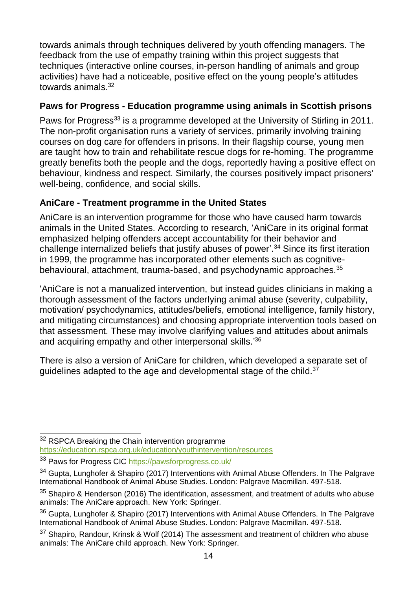towards animals through techniques delivered by youth offending managers. The feedback from the use of empathy training within this project suggests that techniques (interactive online courses, in-person handling of animals and group activities) have had a noticeable, positive effect on the young people's attitudes towards animals.<sup>32</sup>

#### <span id="page-13-0"></span>**Paws for Progress - Education programme using animals in Scottish prisons**

Paws for Progress<sup>33</sup> is a programme developed at the University of Stirling in 2011. The non-profit organisation runs a variety of services, primarily involving training courses on dog care for offenders in prisons. In their flagship course, young men are taught how to train and rehabilitate rescue dogs for re-homing. The programme greatly benefits both the people and the dogs, reportedly having a positive effect on behaviour, kindness and respect. Similarly, the courses positively impact prisoners' well-being, confidence, and social skills.

#### <span id="page-13-1"></span>**AniCare - Treatment programme in the United States**

AniCare is an intervention programme for those who have caused harm towards animals in the United States. According to research, 'AniCare in its original format emphasized helping offenders accept accountability for their behavior and challenge internalized beliefs that justify abuses of power'. <sup>34</sup> Since its first iteration in 1999, the programme has incorporated other elements such as cognitivebehavioural, attachment, trauma-based, and psychodynamic approaches.<sup>35</sup>

'AniCare is not a manualized intervention, but instead guides clinicians in making a thorough assessment of the factors underlying animal abuse (severity, culpability, motivation/ psychodynamics, attitudes/beliefs, emotional intelligence, family history, and mitigating circumstances) and choosing appropriate intervention tools based on that assessment. These may involve clarifying values and attitudes about animals and acquiring empathy and other interpersonal skills.'<sup>36</sup>

There is also a version of AniCare for children, which developed a separate set of guidelines adapted to the age and developmental stage of the child.<sup>37</sup>

 $\overline{a}$ <sup>32</sup> RSPCA Breaking the Chain intervention programme <https://education.rspca.org.uk/education/youthintervention/resources>

<sup>33</sup> Paws for Progress CIC<https://pawsforprogress.co.uk/>

<sup>&</sup>lt;sup>34</sup> Gupta, Lunghofer & Shapiro (2017) Interventions with Animal Abuse Offenders. In The Palgrave International Handbook of Animal Abuse Studies. London: Palgrave Macmillan. 497-518.

 $35$  Shapiro & Henderson (2016) The identification, assessment, and treatment of adults who abuse animals: The AniCare approach. New York: Springer.

<sup>&</sup>lt;sup>36</sup> Gupta, Lunghofer & Shapiro (2017) Interventions with Animal Abuse Offenders. In The Palgrave International Handbook of Animal Abuse Studies. London: Palgrave Macmillan. 497-518.

 $37$  Shapiro. Randour, Krinsk & Wolf (2014) The assessment and treatment of children who abuse animals: The AniCare child approach. New York: Springer.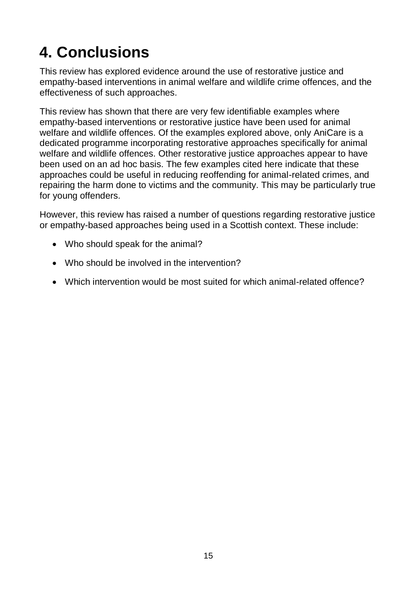## <span id="page-14-0"></span>**4. Conclusions**

This review has explored evidence around the use of restorative justice and empathy-based interventions in animal welfare and wildlife crime offences, and the effectiveness of such approaches.

This review has shown that there are very few identifiable examples where empathy-based interventions or restorative justice have been used for animal welfare and wildlife offences. Of the examples explored above, only AniCare is a dedicated programme incorporating restorative approaches specifically for animal welfare and wildlife offences. Other restorative justice approaches appear to have been used on an ad hoc basis. The few examples cited here indicate that these approaches could be useful in reducing reoffending for animal-related crimes, and repairing the harm done to victims and the community. This may be particularly true for young offenders.

However, this review has raised a number of questions regarding restorative justice or empathy-based approaches being used in a Scottish context. These include:

- Who should speak for the animal?
- Who should be involved in the intervention?
- Which intervention would be most suited for which animal-related offence?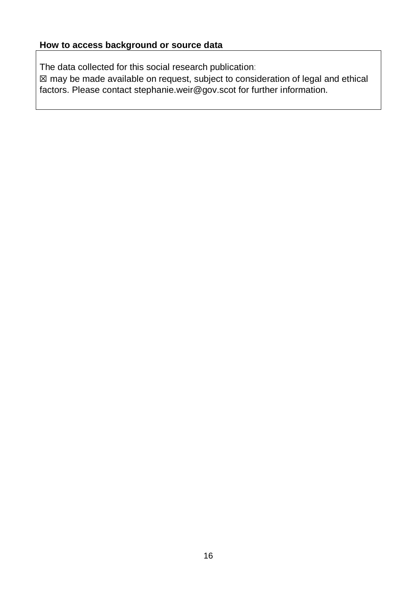#### **How to access background or source data**

The data collected for this social research publication:

☒ may be made available on request, subject to consideration of legal and ethical factors. Please contact stephanie.weir@gov.scot for further information.